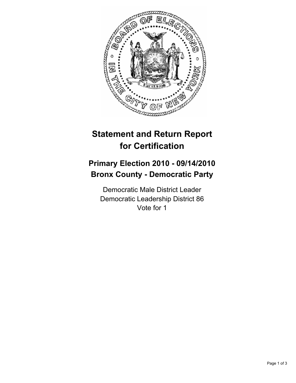

## **Statement and Return Report for Certification**

## **Primary Election 2010 - 09/14/2010 Bronx County - Democratic Party**

Democratic Male District Leader Democratic Leadership District 86 Vote for 1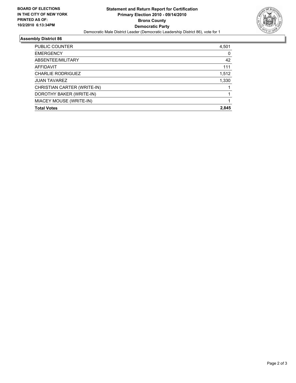

## **Assembly District 86**

| <b>EMERGENCY</b>            | 0     |
|-----------------------------|-------|
| ABSENTEE/MILITARY           | 42    |
| AFFIDAVIT                   | 111   |
| <b>CHARLIE RODRIGUEZ</b>    | 1,512 |
| <b>JUAN TAVAREZ</b>         | 1,330 |
| CHRISTIAN CARTER (WRITE-IN) |       |
| DOROTHY BAKER (WRITE-IN)    |       |
| MIACEY MOUSE (WRITE-IN)     |       |
| <b>Total Votes</b>          | 2.845 |